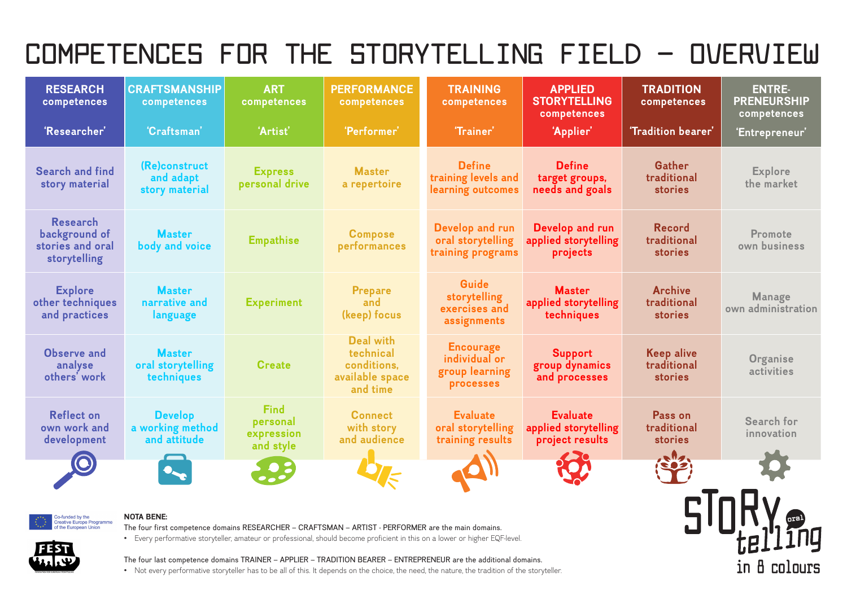**TRADITION competences**

**'Tradition bearer'**

**ENTRE-PRENEURSHIP competences**

**'Entrepreneur'**

**Gather traditional stories**

**Explore the market**

**Record traditional stories** 

| <b>RESEARCH</b><br>competences                                       | <b>CRAFTSMANSHIP</b><br>competences                | <b>ART</b><br>competences                          | <b>PERFORMANCE</b><br>competences                                           | <b>TRAINING</b><br>competences                                   | <b>APPLIED</b><br><b>STORYTELLING</b><br>competences       |  |
|----------------------------------------------------------------------|----------------------------------------------------|----------------------------------------------------|-----------------------------------------------------------------------------|------------------------------------------------------------------|------------------------------------------------------------|--|
| 'Researcher'<br>'Craftsman'                                          |                                                    | 'Artist'                                           | 'Performer'                                                                 |                                                                  | 'Applier'                                                  |  |
| <b>Search and find</b><br>story material                             | (Re)construct<br>and adapt<br>story material       | <b>Express</b><br>personal drive                   | <b>Master</b><br>a repertoire                                               | <b>Define</b><br>training levels and<br>learning outcomes        | <b>Define</b><br>target groups,<br>needs and goals         |  |
| <b>Research</b><br>background of<br>stories and oral<br>storytelling | <b>Master</b><br>body and voice                    | <b>Empathise</b>                                   | <b>Compose</b><br>performances                                              | Develop and run<br>oral storytelling<br>training programs        | Develop and run<br>applied storytelling<br>projects        |  |
| <b>Explore</b><br>other techniques<br>and practices                  | <b>Master</b><br>narrative and<br>language         | <b>Experiment</b>                                  | <b>Prepare</b><br>and<br>(keep) focus                                       | Guide<br>storytelling<br>exercises and<br>assignments            | <b>Master</b><br>applied storytelling<br>techniques        |  |
| <b>Observe and</b><br>analyse<br>others' work                        | <b>Master</b><br>oral storytelling<br>techniques   | <b>Create</b>                                      | <b>Deal with</b><br>technical<br>conditions,<br>available space<br>and time | <b>Encourage</b><br>individual or<br>group learning<br>processes | <b>Support</b><br>group dynamics<br>and processes          |  |
| <b>Reflect on</b><br>own work and<br>development                     | <b>Develop</b><br>a working method<br>and attitude | <b>Find</b><br>personal<br>expression<br>and style | <b>Connect</b><br>with story<br>and audience                                | <b>Evaluate</b><br>oral storytelling<br>training results         | <b>Evaluate</b><br>applied storytelling<br>project results |  |
|                                                                      |                                                    |                                                    |                                                                             |                                                                  |                                                            |  |



**Promote own business**

**Archive traditional stories**

**Manage own administration**

**Keep alive traditional stories** 

**Organise activities**

**Pass on traditional stories**



**Search for innovation**

in 8 colours

## **NOTA BENE:**

The four first competence domains RESEARCHER – CRAFTSMAN – ARTIST - PERFORMER are the main domains.

• Every performative storyteller, amateur or professional, should become proficient in this on a lower or higher EQF-level.



The four last competence domains TRAINER – APPLIER – TRADITION BEARER – ENTREPRENEUR are the additional domains.

• Not every performative storyteller has to be all of this. It depends on the choice, the need, the nature, the tradition of the storyteller.

# **COMPETENCES FOR THE STORYTELLING FIELD – OVERVIEW**